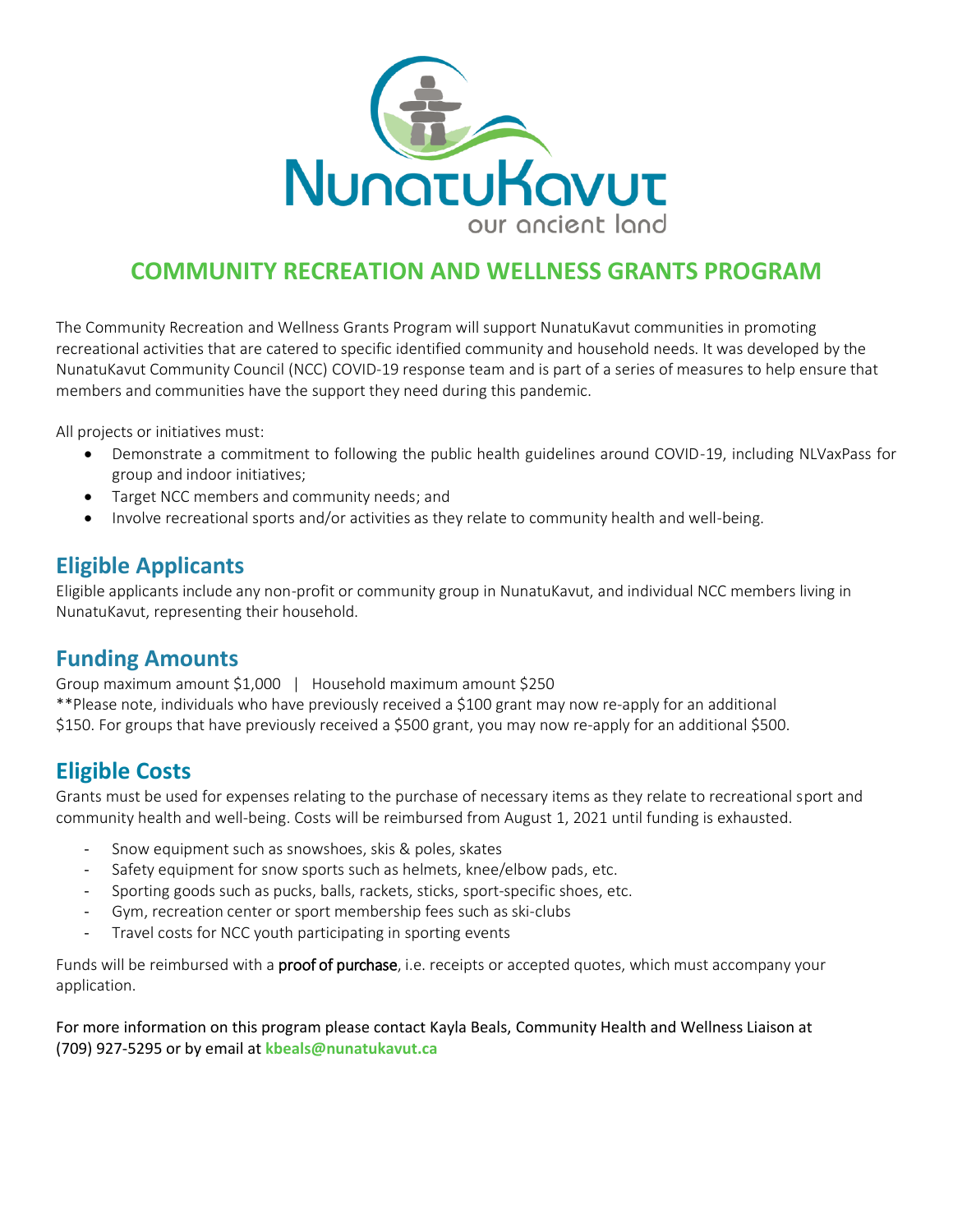

# **COMMUNITY RECREATION AND WELLNESS GRANTS PROGRAM**

The Community Recreation and Wellness Grants Program will support NunatuKavut communities in promoting recreational activities that are catered to specific identified community and household needs. It was developed by the NunatuKavut Community Council (NCC) COVID-19 response team and is part of a series of measures to help ensure that members and communities have the support they need during this pandemic.

All projects or initiatives must:

- Demonstrate a commitment to following the public health guidelines around COVID-19, including NLVaxPass for group and indoor initiatives;
- Target NCC members and community needs; and
- Involve recreational sports and/or activities as they relate to community health and well-being.

### **Eligible Applicants**

Eligible applicants include any non-profit or community group in NunatuKavut, and individual NCC members living in NunatuKavut, representing their household.

## **Funding Amounts**

Group maximum amount \$1,000 | Household maximum amount \$250 \*\*Please note, individuals who have previously received a \$100 grant may now re-apply for an additional \$150. For groups that have previously received a \$500 grant, you may now re-apply for an additional \$500.

## **Eligible Costs**

Grants must be used for expenses relating to the purchase of necessary items as they relate to recreational sport and community health and well-being. Costs will be reimbursed from August 1, 2021 until funding is exhausted.

- Snow equipment such as snowshoes, skis & poles, skates
- Safety equipment for snow sports such as helmets, knee/elbow pads, etc.
- Sporting goods such as pucks, balls, rackets, sticks, sport-specific shoes, etc.
- Gym, recreation center or sport membership fees such as ski-clubs
- Travel costs for NCC youth participating in sporting events

Funds will be reimbursed with a proof of purchase, i.e. receipts or accepted quotes, which must accompany your application.

For more information on this program please contact Kayla Beals, Community Health and Wellness Liaison at (709) 927-5295 or by email at **[kbeals@nunatukavut.ca](mailto:kbeals@nunatukavut.ca)**